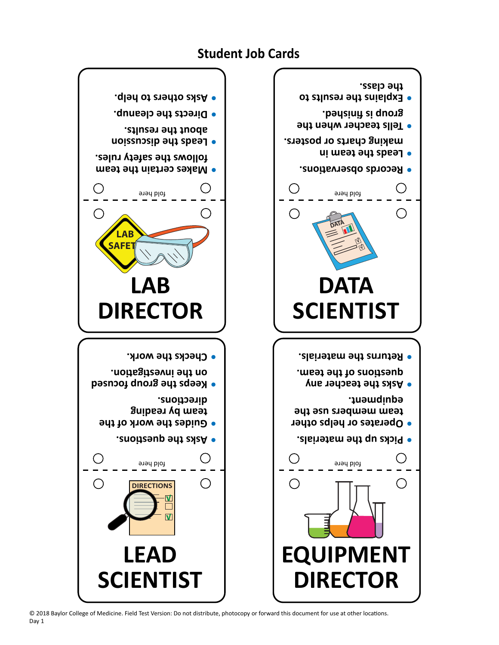© 2018 Baylor College of Medicine. Field Test Version: Do not distribute, photocopy or forward this document for use at other locatons. Day 1

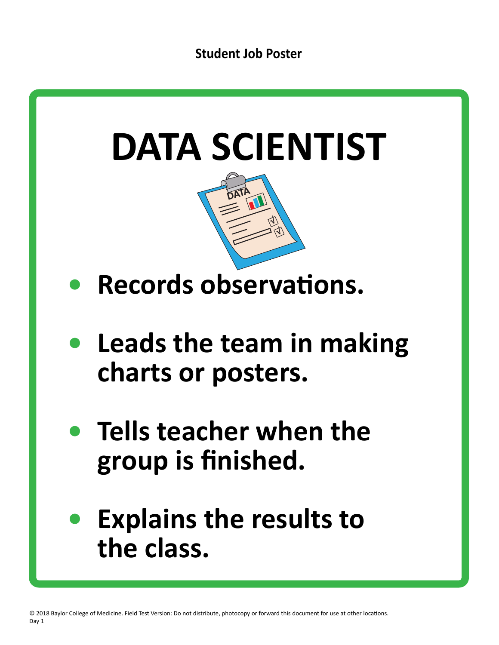



- **Records observations.**
- **• Leads the team in making charts or posters.**
- **• Tells teacher when the group is finished.**
- **• Explains the results to the class.**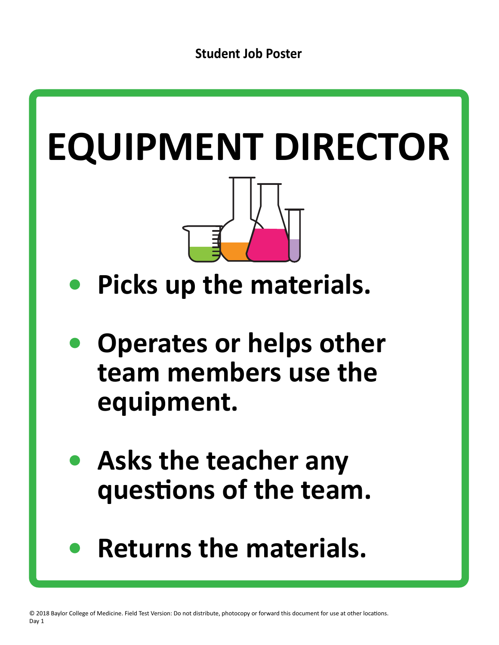## **EQUIPMENT DIRECTOR**

- **• Picks up the materials.**
- **• Operates or helps other team members use the equipment.**
- **• Asks the teacher any**  questions of the team.
- **• Returns the materials.**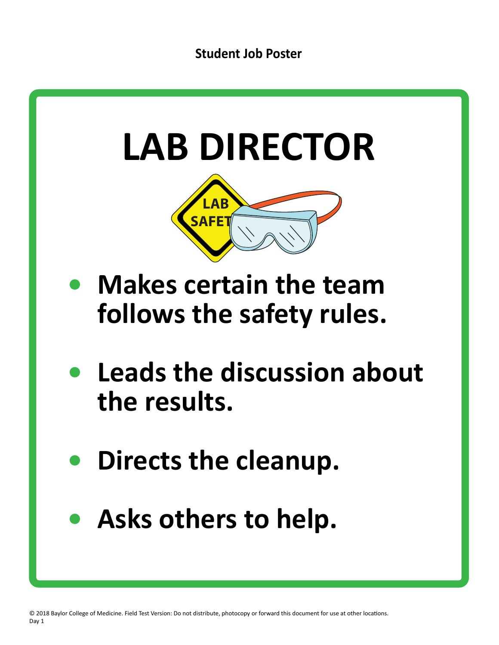## **Student Job Poster**



- **• Directs the cleanup.**
- **• Asks others to help.**

© 2018 Baylor College of Medicine. Field Test Version: Do not distribute, photocopy or forward this document for use at other locatons. Day 1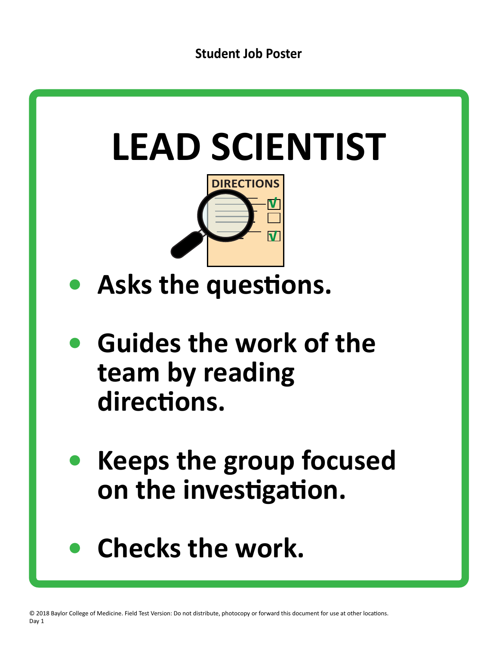

## Checks the work.

© 2018 Baylor College of Medicine. Field Test Version: Do not distribute, photocopy or forward this document for use at other locations. Day 1